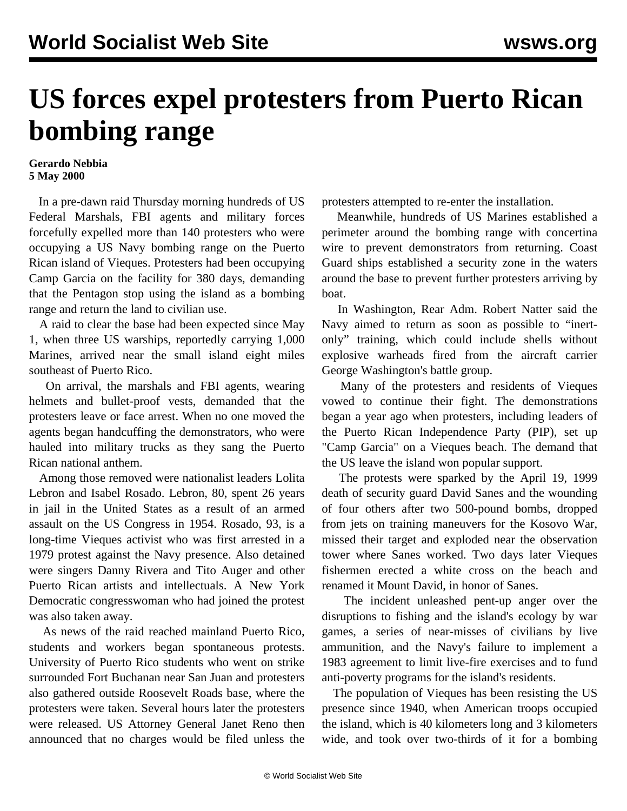## **US forces expel protesters from Puerto Rican bombing range**

## **Gerardo Nebbia 5 May 2000**

 In a pre-dawn raid Thursday morning hundreds of US Federal Marshals, FBI agents and military forces forcefully expelled more than 140 protesters who were occupying a US Navy bombing range on the Puerto Rican island of Vieques. Protesters had been occupying Camp Garcia on the facility for 380 days, demanding that the Pentagon stop using the island as a bombing range and return the land to civilian use.

 A raid to clear the base had been expected since May 1, when three US warships, reportedly carrying 1,000 Marines, arrived near the small island eight miles southeast of Puerto Rico.

 On arrival, the marshals and FBI agents, wearing helmets and bullet-proof vests, demanded that the protesters leave or face arrest. When no one moved the agents began handcuffing the demonstrators, who were hauled into military trucks as they sang the Puerto Rican national anthem.

 Among those removed were nationalist leaders Lolita Lebron and Isabel Rosado. Lebron, 80, spent 26 years in jail in the United States as a result of an armed assault on the US Congress in 1954. Rosado, 93, is a long-time Vieques activist who was first arrested in a 1979 protest against the Navy presence. Also detained were singers Danny Rivera and Tito Auger and other Puerto Rican artists and intellectuals. A New York Democratic congresswoman who had joined the protest was also taken away.

 As news of the raid reached mainland Puerto Rico, students and workers began spontaneous protests. University of Puerto Rico students who went on strike surrounded Fort Buchanan near San Juan and protesters also gathered outside Roosevelt Roads base, where the protesters were taken. Several hours later the protesters were released. US Attorney General Janet Reno then announced that no charges would be filed unless the protesters attempted to re-enter the installation.

 Meanwhile, hundreds of US Marines established a perimeter around the bombing range with concertina wire to prevent demonstrators from returning. Coast Guard ships established a security zone in the waters around the base to prevent further protesters arriving by boat.

 In Washington, Rear Adm. Robert Natter said the Navy aimed to return as soon as possible to "inertonly" training, which could include shells without explosive warheads fired from the aircraft carrier George Washington's battle group.

 Many of the protesters and residents of Vieques vowed to continue their fight. The demonstrations began a year ago when protesters, including leaders of the Puerto Rican Independence Party (PIP), set up "Camp Garcia" on a Vieques beach. The demand that the US leave the island won popular support.

 The protests were sparked by the April 19, 1999 death of security guard David Sanes and the wounding of four others after two 500-pound bombs, dropped from jets on training maneuvers for the Kosovo War, missed their target and exploded near the observation tower where Sanes worked. Two days later Vieques fishermen erected a white cross on the beach and renamed it Mount David, in honor of Sanes.

 The incident unleashed pent-up anger over the disruptions to fishing and the island's ecology by war games, a series of near-misses of civilians by live ammunition, and the Navy's failure to implement a 1983 agreement to limit live-fire exercises and to fund anti-poverty programs for the island's residents.

 The population of Vieques has been resisting the US presence since 1940, when American troops occupied the island, which is 40 kilometers long and 3 kilometers wide, and took over two-thirds of it for a bombing